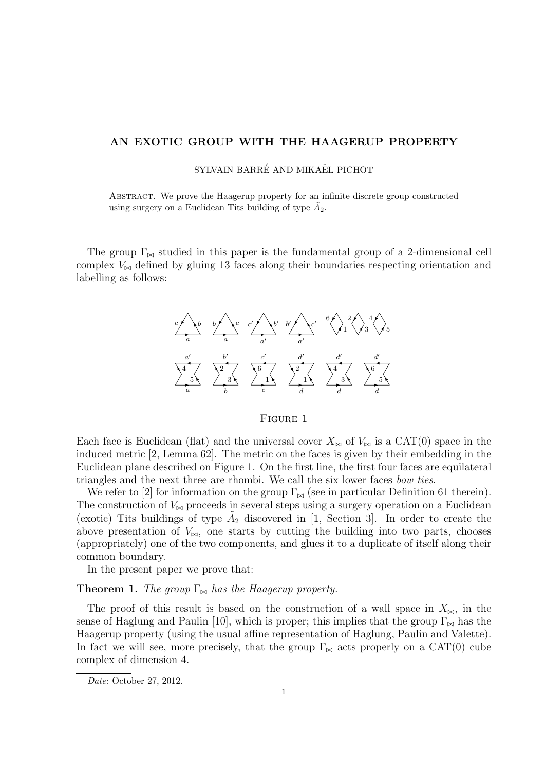# AN EXOTIC GROUP WITH THE HAAGERUP PROPERTY

## SYLVAIN BARRÉ AND MIKAËL PICHOT

Abstract. We prove the Haagerup property for an infinite discrete group constructed using surgery on a Euclidean Tits building of type  $\tilde{A}_2$ .

The group  $\Gamma_{\bowtie}$  studied in this paper is the fundamental group of a 2-dimensional cell complex  $V_{\bowtie}$  defined by gluing 13 faces along their boundaries respecting orientation and labelling as follows:



## Figure 1

Each face is Euclidean (flat) and the universal cover  $X_{\bowtie}$  of  $V_{\bowtie}$  is a CAT(0) space in the induced metric [2, Lemma 62]. The metric on the faces is given by their embedding in the Euclidean plane described on Figure 1. On the first line, the first four faces are equilateral triangles and the next three are rhombi. We call the six lower faces bow ties.

We refer to [2] for information on the group  $\Gamma_{\bowtie}$  (see in particular Definition 61 therein). The construction of  $V_{\infty}$  proceeds in several steps using a surgery operation on a Euclidean (exotic) Tits buildings of type  $\tilde{A}_2$  discovered in [1, Section 3]. In order to create the above presentation of  $V_{\infty}$ , one starts by cutting the building into two parts, chooses (appropriately) one of the two components, and glues it to a duplicate of itself along their common boundary.

In the present paper we prove that:

## **Theorem 1.** The group  $\Gamma_{\bowtie}$  has the Haagerup property.

The proof of this result is based on the construction of a wall space in  $X_{\bowtie}$ , in the sense of Haglung and Paulin [10], which is proper; this implies that the group  $\Gamma_{\bowtie}$  has the Haagerup property (using the usual affine representation of Haglung, Paulin and Valette). In fact we will see, more precisely, that the group  $\Gamma_{\bowtie}$  acts properly on a CAT(0) cube complex of dimension 4.

Date: October 27, 2012.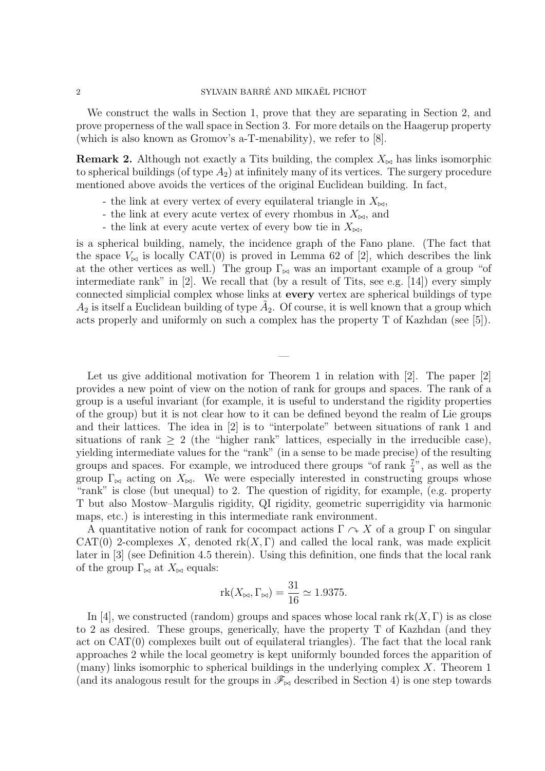## 2 SYLVAIN BARRÉ AND MIKAËL PICHOT

We construct the walls in Section 1, prove that they are separating in Section 2, and prove properness of the wall space in Section 3. For more details on the Haagerup property (which is also known as Gromov's a-T-menability), we refer to [8].

**Remark 2.** Although not exactly a Tits building, the complex  $X_{\bowtie}$  has links isomorphic to spherical buildings (of type  $A_2$ ) at infinitely many of its vertices. The surgery procedure mentioned above avoids the vertices of the original Euclidean building. In fact,

- the link at every vertex of every equilateral triangle in  $X_{\bowtie}$ ,
- the link at every acute vertex of every rhombus in  $X_{\bowtie}$ , and
- the link at every acute vertex of every bow tie in  $X_{\bowtie}$ ,

is a spherical building, namely, the incidence graph of the Fano plane. (The fact that the space  $V_{\bowtie}$  is locally CAT(0) is proved in Lemma 62 of [2], which describes the link at the other vertices as well.) The group  $\Gamma_{\bowtie}$  was an important example of a group "of intermediate rank" in [2]. We recall that (by a result of Tits, see e.g. [14]) every simply connected simplicial complex whose links at every vertex are spherical buildings of type  $A_2$  is itself a Euclidean building of type  $\tilde{A}_2$ . Of course, it is well known that a group which acts properly and uniformly on such a complex has the property T of Kazhdan (see [5]).

—

Let us give additional motivation for Theorem 1 in relation with [2]. The paper [2] provides a new point of view on the notion of rank for groups and spaces. The rank of a group is a useful invariant (for example, it is useful to understand the rigidity properties of the group) but it is not clear how to it can be defined beyond the realm of Lie groups and their lattices. The idea in [2] is to "interpolate" between situations of rank 1 and situations of rank  $\geq 2$  (the "higher rank" lattices, especially in the irreducible case), yielding intermediate values for the "rank" (in a sense to be made precise) of the resulting groups and spaces. For example, we introduced there groups "of rank  $\frac{7}{4}$ ", as well as the group  $\Gamma_{\bowtie}$  acting on  $X_{\bowtie}$ . We were especially interested in constructing groups whose "rank" is close (but unequal) to 2. The question of rigidity, for example, (e.g. property T but also Mostow–Margulis rigidity, QI rigidity, geometric superrigidity via harmonic maps, etc.) is interesting in this intermediate rank environment.

A quantitative notion of rank for cocompact actions  $\Gamma \curvearrowright X$  of a group  $\Gamma$  on singular CAT(0) 2-complexes X, denoted  $rk(X,\Gamma)$  and called the local rank, was made explicit later in [3] (see Definition 4.5 therein). Using this definition, one finds that the local rank of the group  $\Gamma_{\bowtie}$  at  $X_{\bowtie}$  equals:

$$
\mathrm{rk}(X_{\bowtie}, \Gamma_{\bowtie}) = \frac{31}{16} \simeq 1.9375.
$$

In [4], we constructed (random) groups and spaces whose local rank  $rk(X, \Gamma)$  is as close to 2 as desired. These groups, generically, have the property T of Kazhdan (and they act on CAT(0) complexes built out of equilateral triangles). The fact that the local rank approaches 2 while the local geometry is kept uniformly bounded forces the apparition of (many) links isomorphic to spherical buildings in the underlying complex  $X$ . Theorem 1 (and its analogous result for the groups in  $\mathscr{F}_{\bowtie}$  described in Section 4) is one step towards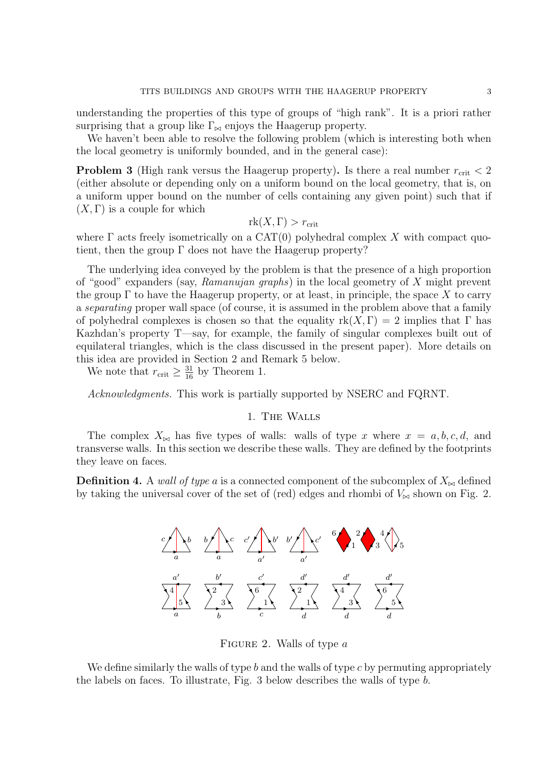understanding the properties of this type of groups of "high rank". It is a priori rather surprising that a group like  $\Gamma_{\bowtie}$  enjoys the Haagerup property.

We haven't been able to resolve the following problem (which is interesting both when the local geometry is uniformly bounded, and in the general case):

**Problem 3** (High rank versus the Haagerup property). Is there a real number  $r_{\text{crit}} < 2$ (either absolute or depending only on a uniform bound on the local geometry, that is, on a uniform upper bound on the number of cells containing any given point) such that if  $(X, \Gamma)$  is a couple for which

$$
rk(X,\Gamma)>r_{\rm crit}
$$

where  $\Gamma$  acts freely isometrically on a CAT(0) polyhedral complex X with compact quotient, then the group  $\Gamma$  does not have the Haagerup property?

The underlying idea conveyed by the problem is that the presence of a high proportion of "good" expanders (say, Ramanujan graphs) in the local geometry of X might prevent the group  $\Gamma$  to have the Haagerup property, or at least, in principle, the space X to carry a separating proper wall space (of course, it is assumed in the problem above that a family of polyhedral complexes is chosen so that the equality  $rk(X, \Gamma) = 2$  implies that  $\Gamma$  has Kazhdan's property T—say, for example, the family of singular complexes built out of equilateral triangles, which is the class discussed in the present paper). More details on this idea are provided in Section 2 and Remark 5 below.

We note that  $r_{\text{crit}} \geq \frac{31}{16}$  by Theorem 1.

Acknowledgments. This work is partially supported by NSERC and FQRNT.

## 1. The Walls

The complex  $X_{\bowtie}$  has five types of walls: walls of type x where  $x = a, b, c, d$ , and transverse walls. In this section we describe these walls. They are defined by the footprints they leave on faces.

**Definition 4.** A wall of type a is a connected component of the subcomplex of  $X_{\bowtie}$  defined by taking the universal cover of the set of (red) edges and rhombi of  $V_{\bowtie}$  shown on Fig. 2.



FIGURE 2. Walls of type  $a$ 

We define similarly the walls of type  $b$  and the walls of type  $c$  by permuting appropriately the labels on faces. To illustrate, Fig. 3 below describes the walls of type b.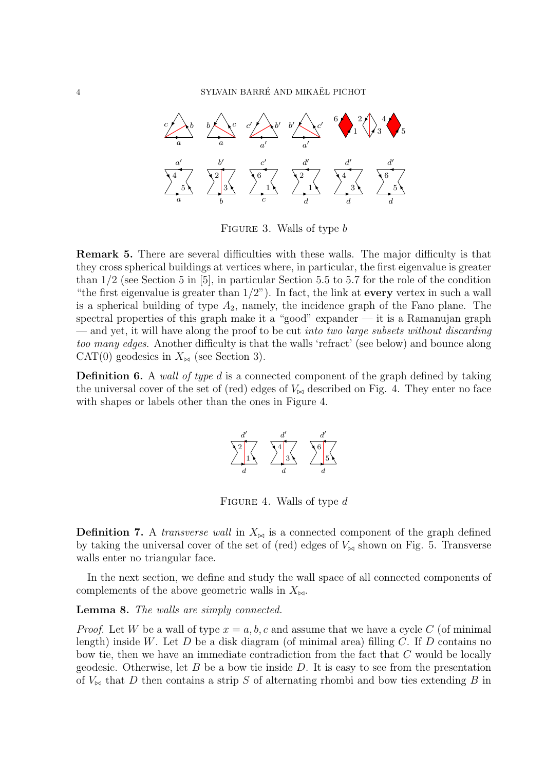

FIGURE 3. Walls of type b

Remark 5. There are several difficulties with these walls. The major difficulty is that they cross spherical buildings at vertices where, in particular, the first eigenvalue is greater than 1/2 (see Section 5 in [5], in particular Section 5.5 to 5.7 for the role of the condition "the first eigenvalue is greater than  $1/2$ "). In fact, the link at **every** vertex in such a wall is a spherical building of type  $A_2$ , namely, the incidence graph of the Fano plane. The spectral properties of this graph make it a "good" expander  $-$  it is a Ramanujan graph — and yet, it will have along the proof to be cut *into two large subsets without discarding* too many edges. Another difficulty is that the walls 'refract' (see below) and bounce along CAT(0) geodesics in  $X_{\bowtie}$  (see Section 3).

**Definition 6.** A wall of type d is a connected component of the graph defined by taking the universal cover of the set of (red) edges of  $V_{\bowtie}$  described on Fig. 4. They enter no face with shapes or labels other than the ones in Figure 4.



FIGURE 4. Walls of type  $d$ 

**Definition 7.** A *transverse wall* in  $X_{\bowtie}$  is a connected component of the graph defined by taking the universal cover of the set of (red) edges of  $V_{\infty}$  shown on Fig. 5. Transverse walls enter no triangular face.

In the next section, we define and study the wall space of all connected components of complements of the above geometric walls in  $X_{\bowtie}$ .

Lemma 8. The walls are simply connected.

*Proof.* Let W be a wall of type  $x = a, b, c$  and assume that we have a cycle C (of minimal length) inside W. Let D be a disk diagram (of minimal area) filling C. If D contains no bow tie, then we have an immediate contradiction from the fact that  $C$  would be locally geodesic. Otherwise, let  $B$  be a bow tie inside  $D$ . It is easy to see from the presentation of  $V_{\bowtie}$  that D then contains a strip S of alternating rhombi and bow ties extending B in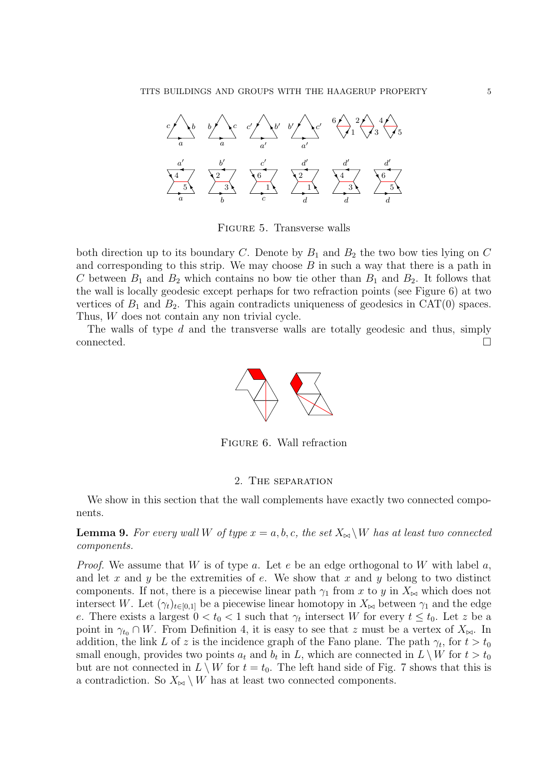

Figure 5. Transverse walls

both direction up to its boundary C. Denote by  $B_1$  and  $B_2$  the two bow ties lying on C and corresponding to this strip. We may choose  $B$  in such a way that there is a path in C between  $B_1$  and  $B_2$  which contains no bow tie other than  $B_1$  and  $B_2$ . It follows that the wall is locally geodesic except perhaps for two refraction points (see Figure 6) at two vertices of  $B_1$  and  $B_2$ . This again contradicts uniqueness of geodesics in CAT(0) spaces. Thus, W does not contain any non trivial cycle.

The walls of type  $d$  and the transverse walls are totally geodesic and thus, simply  $\Box$ connected.  $\Box$ 



Figure 6. Wall refraction

## 2. The separation

We show in this section that the wall complements have exactly two connected components.

**Lemma 9.** For every wall W of type  $x = a, b, c$ , the set  $X_{\bowtie} \backslash W$  has at least two connected components.

*Proof.* We assume that W is of type a. Let e be an edge orthogonal to W with label a, and let x and y be the extremities of  $e$ . We show that x and y belong to two distinct components. If not, there is a piecewise linear path  $\gamma_1$  from x to y in  $X_{\bowtie}$  which does not intersect W. Let  $(\gamma_t)_{t\in[0,1]}$  be a piecewise linear homotopy in  $X_{\bowtie}$  between  $\gamma_1$  and the edge e. There exists a largest  $0 < t_0 < 1$  such that  $\gamma_t$  intersect W for every  $t \leq t_0$ . Let z be a point in  $\gamma_{t_0} \cap W$ . From Definition 4, it is easy to see that z must be a vertex of  $X_{\bowtie}$ . In addition, the link L of z is the incidence graph of the Fano plane. The path  $\gamma_t$ , for  $t > t_0$ small enough, provides two points  $a_t$  and  $b_t$  in L, which are connected in  $L \setminus W$  for  $t > t_0$ but are not connected in  $L \setminus W$  for  $t = t_0$ . The left hand side of Fig. 7 shows that this is a contradiction. So  $X_{\bowtie} \setminus W$  has at least two connected components.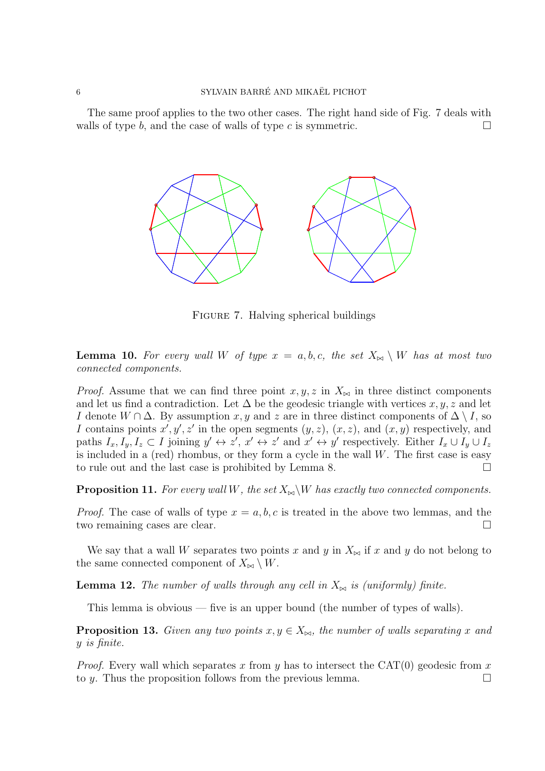## 6 SYLVAIN BARRÉ AND MIKAËL PICHOT

The same proof applies to the two other cases. The right hand side of Fig. 7 deals with walls of type b, and the case of walls of type c is symmetric.



FIGURE 7. Halving spherical buildings

**Lemma 10.** For every wall W of type  $x = a, b, c$ , the set  $X_{\bowtie} \setminus W$  has at most two connected components.

*Proof.* Assume that we can find three point  $x, y, z$  in  $X_{\bowtie}$  in three distinct components and let us find a contradiction. Let  $\Delta$  be the geodesic triangle with vertices  $x, y, z$  and let I denote  $W \cap \Delta$ . By assumption x, y and z are in three distinct components of  $\Delta \setminus I$ , so I contains points  $x', y', z'$  in the open segments  $(y, z)$ ,  $(x, z)$ , and  $(x, y)$  respectively, and paths  $I_x, I_y, I_z \subset I$  joining  $y' \leftrightarrow z'$ ,  $x' \leftrightarrow z'$  and  $x' \leftrightarrow y'$  respectively. Either  $I_x \cup I_y \cup I_z$ is included in a (red) rhombus, or they form a cycle in the wall  $W$ . The first case is easy to rule out and the last case is prohibited by Lemma 8.

**Proposition 11.** For every wall W, the set  $X_{\bowtie} \backslash W$  has exactly two connected components.

*Proof.* The case of walls of type  $x = a, b, c$  is treated in the above two lemmas, and the two remaining cases are clear.

We say that a wall W separates two points x and y in  $X_{\bowtie}$  if x and y do not belong to the same connected component of  $X_{\bowtie} \setminus W$ .

**Lemma 12.** The number of walls through any cell in  $X_{\bowtie}$  is (uniformly) finite.

This lemma is obvious — five is an upper bound (the number of types of walls).

**Proposition 13.** Given any two points  $x, y \in X_{\bowtie}$ , the number of walls separating x and y is finite.

*Proof.* Every wall which separates x from y has to intersect the CAT(0) geodesic from x to y. Thus the proposition follows from the previous lemma.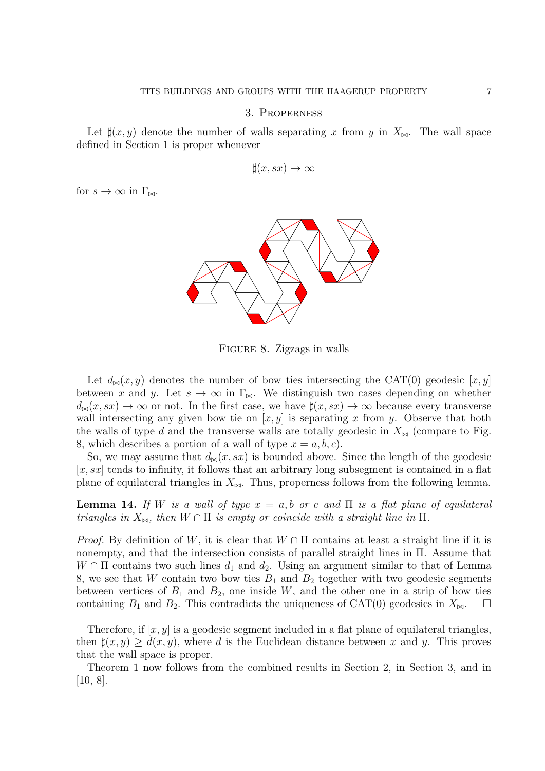### 3. Properness

Let  $\sharp(x, y)$  denote the number of walls separating x from y in  $X_{\bowtie}$ . The wall space defined in Section 1 is proper whenever

$$
\sharp(x,sx)\to\infty
$$

for  $s \to \infty$  in  $\Gamma_{\bowtie}$ .



Figure 8. Zigzags in walls

Let  $d_{\bowtie}(x, y)$  denotes the number of bow ties intersecting the CAT(0) geodesic [x, y] between x and y. Let  $s \to \infty$  in  $\Gamma_{\bowtie}$ . We distinguish two cases depending on whether  $d_{\bowtie}(x, sx) \to \infty$  or not. In the first case, we have  $\sharp(x, sx) \to \infty$  because every transverse wall intersecting any given bow tie on  $[x, y]$  is separating x from y. Observe that both the walls of type d and the transverse walls are totally geodesic in  $X_{\bowtie}$  (compare to Fig. 8, which describes a portion of a wall of type  $x = a, b, c$ .

So, we may assume that  $d_{\bowtie}(x, sx)$  is bounded above. Since the length of the geodesic  $[x, sx]$  tends to infinity, it follows that an arbitrary long subsegment is contained in a flat plane of equilateral triangles in  $X_{\bowtie}$ . Thus, properness follows from the following lemma.

**Lemma 14.** If W is a wall of type  $x = a, b$  or c and  $\Pi$  is a flat plane of equilateral triangles in  $X_{\bowtie}$ , then  $W \cap \Pi$  is empty or coincide with a straight line in  $\Pi$ .

*Proof.* By definition of W, it is clear that  $W \cap \Pi$  contains at least a straight line if it is nonempty, and that the intersection consists of parallel straight lines in Π. Assume that  $W \cap \Pi$  contains two such lines  $d_1$  and  $d_2$ . Using an argument similar to that of Lemma 8, we see that W contain two bow ties  $B_1$  and  $B_2$  together with two geodesic segments between vertices of  $B_1$  and  $B_2$ , one inside W, and the other one in a strip of bow ties containing  $B_1$  and  $B_2$ . This contradicts the uniqueness of CAT(0) geodesics in  $X_{\bowtie}$ .  $\Box$ 

Therefore, if  $[x, y]$  is a geodesic segment included in a flat plane of equilateral triangles, then  $\sharp(x, y) \geq d(x, y)$ , where d is the Euclidean distance between x and y. This proves that the wall space is proper.

Theorem 1 now follows from the combined results in Section 2, in Section 3, and in [10, 8].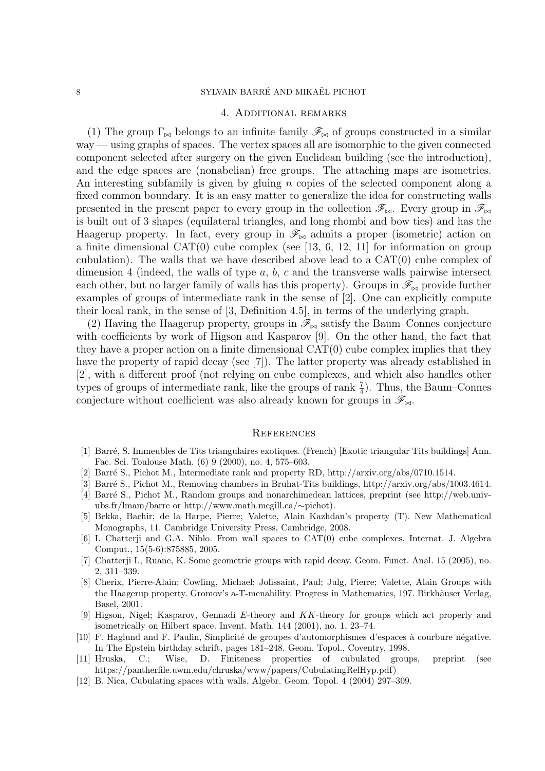## 4. Additional remarks

(1) The group  $\Gamma_{\bowtie}$  belongs to an infinite family  $\mathscr{F}_{\bowtie}$  of groups constructed in a similar way — using graphs of spaces. The vertex spaces all are isomorphic to the given connected component selected after surgery on the given Euclidean building (see the introduction), and the edge spaces are (nonabelian) free groups. The attaching maps are isometries. An interesting subfamily is given by gluing  $n$  copies of the selected component along a fixed common boundary. It is an easy matter to generalize the idea for constructing walls presented in the present paper to every group in the collection  $\mathscr{F}_{\bowtie}$ . Every group in  $\mathscr{F}_{\bowtie}$ is built out of 3 shapes (equilateral triangles, and long rhombi and bow ties) and has the Haagerup property. In fact, every group in  $\mathscr{F}_{\bowtie}$  admits a proper (isometric) action on a finite dimensional CAT $(0)$  cube complex (see [13, 6, 12, 11] for information on group cubulation). The walls that we have described above lead to a  $CAT(0)$  cube complex of dimension 4 (indeed, the walls of type  $a, b, c$  and the transverse walls pairwise intersect each other, but no larger family of walls has this property). Groups in  $\mathscr{F}_{\bowtie}$  provide further examples of groups of intermediate rank in the sense of [2]. One can explicitly compute their local rank, in the sense of [3, Definition 4.5], in terms of the underlying graph.

(2) Having the Haagerup property, groups in  $\mathscr{F}_{\bowtie}$  satisfy the Baum–Connes conjecture with coefficients by work of Higson and Kasparov [9]. On the other hand, the fact that they have a proper action on a finite dimensional  $CAT(0)$  cube complex implies that they have the property of rapid decay (see [7]). The latter property was already established in [2], with a different proof (not relying on cube complexes, and which also handles other types of groups of intermediate rank, like the groups of rank  $\frac{7}{4}$ ). Thus, the Baum–Connes conjecture without coefficient was also already known for groups in  $\mathscr{F}_{\bowtie}$ .

## **REFERENCES**

- [1] Barr´e, S. Immeubles de Tits triangulaires exotiques. (French) [Exotic triangular Tits buildings] Ann. Fac. Sci. Toulouse Math. (6) 9 (2000), no. 4, 575–603.
- [2] Barr´e S., Pichot M., Intermediate rank and property RD, http://arxiv.org/abs/0710.1514.
- [3] Barr´e S., Pichot M., Removing chambers in Bruhat-Tits buildings, http://arxiv.org/abs/1003.4614.
- [4] Barr´e S., Pichot M., Random groups and nonarchimedean lattices, preprint (see http://web.univubs.fr/lmam/barre or http://www.math.mcgill.ca/∼pichot).
- [5] Bekka, Bachir; de la Harpe, Pierre; Valette, Alain Kazhdan's property (T). New Mathematical Monographs, 11. Cambridge University Press, Cambridge, 2008.
- [6] I. Chatterji and G.A. Niblo. From wall spaces to CAT(0) cube complexes. Internat. J. Algebra Comput., 15(5-6):875885, 2005.
- [7] Chatterji I., Ruane, K. Some geometric groups with rapid decay. Geom. Funct. Anal. 15 (2005), no. 2, 311–339.
- [8] Cherix, Pierre-Alain; Cowling, Michael; Jolissaint, Paul; Julg, Pierre; Valette, Alain Groups with the Haagerup property. Gromov's a-T-menability. Progress in Mathematics, 197. Birkhäuser Verlag, Basel, 2001.
- [9] Higson, Nigel; Kasparov, Gennadi E-theory and KK-theory for groups which act properly and isometrically on Hilbert space. Invent. Math. 144 (2001), no. 1, 23–74.
- [10] F. Haglund and F. Paulin, Simplicité de groupes d'automorphismes d'espaces à courbure négative. In The Epstein birthday schrift, pages 181–248. Geom. Topol., Coventry, 1998.
- [11] Hruska, C.; Wise, D. Finiteness properties of cubulated groups, preprint (see https://pantherfile.uwm.edu/chruska/www/papers/CubulatingRelHyp.pdf)
- [12] B. Nica, Cubulating spaces with walls, Algebr. Geom. Topol. 4 (2004) 297–309.